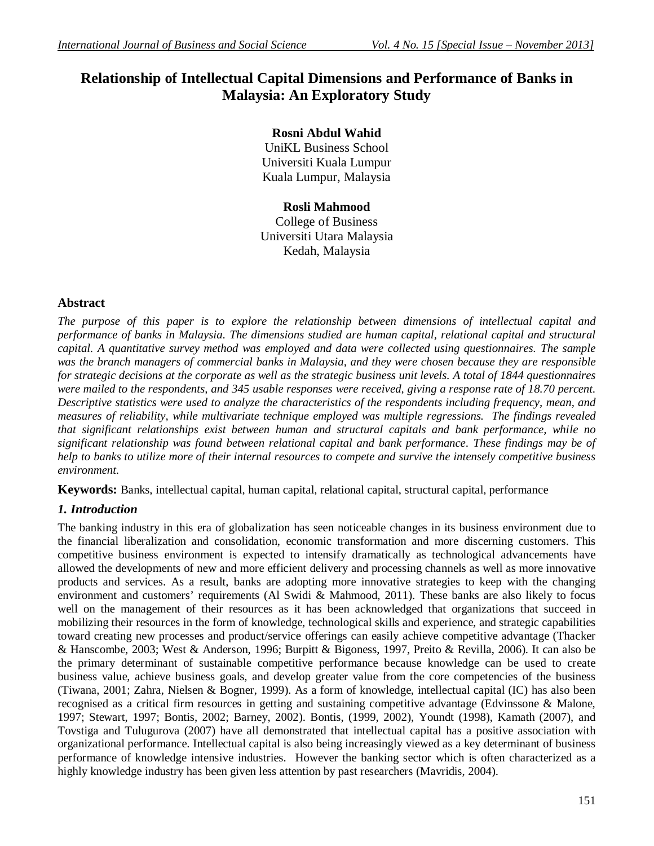# **Relationship of Intellectual Capital Dimensions and Performance of Banks in Malaysia: An Exploratory Study**

## **Rosni Abdul Wahid**

UniKL Business School Universiti Kuala Lumpur Kuala Lumpur, Malaysia

## **Rosli Mahmood**

College of Business Universiti Utara Malaysia Kedah, Malaysia

## **Abstract**

*The purpose of this paper is to explore the relationship between dimensions of intellectual capital and performance of banks in Malaysia. The dimensions studied are human capital, relational capital and structural capital. A quantitative survey method was employed and data were collected using questionnaires. The sample was the branch managers of commercial banks in Malaysia, and they were chosen because they are responsible for strategic decisions at the corporate as well as the strategic business unit levels. A total of 1844 questionnaires were mailed to the respondents, and 345 usable responses were received, giving a response rate of 18.70 percent. Descriptive statistics were used to analyze the characteristics of the respondents including frequency, mean, and measures of reliability, while multivariate technique employed was multiple regressions. The findings revealed that significant relationships exist between human and structural capitals and bank performance, while no significant relationship was found between relational capital and bank performance. These findings may be of help to banks to utilize more of their internal resources to compete and survive the intensely competitive business environment.*

**Keywords:** Banks, intellectual capital, human capital, relational capital, structural capital, performance

## *1. Introduction*

The banking industry in this era of globalization has seen noticeable changes in its business environment due to the financial liberalization and consolidation, economic transformation and more discerning customers. This competitive business environment is expected to intensify dramatically as technological advancements have allowed the developments of new and more efficient delivery and processing channels as well as more innovative products and services. As a result, banks are adopting more innovative strategies to keep with the changing environment and customers' requirements (Al Swidi & Mahmood, 2011). These banks are also likely to focus well on the management of their resources as it has been acknowledged that organizations that succeed in mobilizing their resources in the form of knowledge, technological skills and experience, and strategic capabilities toward creating new processes and product/service offerings can easily achieve competitive advantage (Thacker & Hanscombe, 2003; West & Anderson, 1996; Burpitt & Bigoness, 1997, Preito & Revilla, 2006). It can also be the primary determinant of sustainable competitive performance because knowledge can be used to create business value, achieve business goals, and develop greater value from the core competencies of the business (Tiwana, 2001; Zahra, Nielsen & Bogner, 1999). As a form of knowledge, intellectual capital (IC) has also been recognised as a critical firm resources in getting and sustaining competitive advantage (Edvinssone & Malone, 1997; Stewart, 1997; Bontis, 2002; Barney, 2002). Bontis, (1999, 2002), Youndt (1998), Kamath (2007), and Tovstiga and Tulugurova (2007) have all demonstrated that intellectual capital has a positive association with organizational performance. Intellectual capital is also being increasingly viewed as a key determinant of business performance of knowledge intensive industries. However the banking sector which is often characterized as a highly knowledge industry has been given less attention by past researchers (Mavridis, 2004).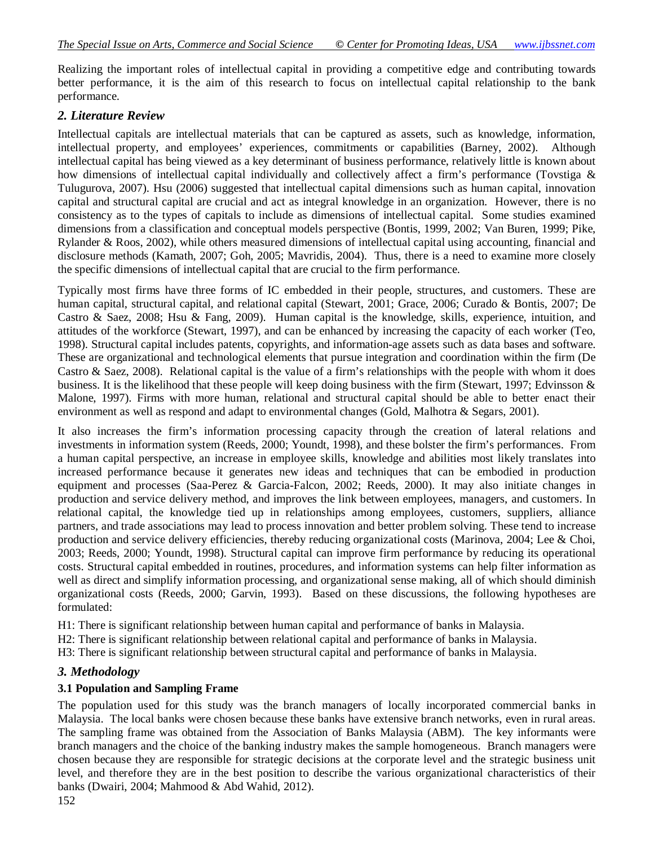Realizing the important roles of intellectual capital in providing a competitive edge and contributing towards better performance, it is the aim of this research to focus on intellectual capital relationship to the bank performance.

#### *2. Literature Review*

Intellectual capitals are intellectual materials that can be captured as assets, such as knowledge, information, intellectual property, and employees' experiences, commitments or capabilities (Barney, 2002). Although intellectual capital has being viewed as a key determinant of business performance, relatively little is known about how dimensions of intellectual capital individually and collectively affect a firm's performance (Tovstiga & Tulugurova, 2007). Hsu (2006) suggested that intellectual capital dimensions such as human capital, innovation capital and structural capital are crucial and act as integral knowledge in an organization. However, there is no consistency as to the types of capitals to include as dimensions of intellectual capital. Some studies examined dimensions from a classification and conceptual models perspective (Bontis, 1999, 2002; Van Buren, 1999; Pike, Rylander & Roos, 2002), while others measured dimensions of intellectual capital using accounting, financial and disclosure methods (Kamath, 2007; Goh, 2005; Mavridis, 2004). Thus, there is a need to examine more closely the specific dimensions of intellectual capital that are crucial to the firm performance.

Typically most firms have three forms of IC embedded in their people, structures, and customers. These are human capital, structural capital, and relational capital (Stewart, 2001; Grace, 2006; Curado & Bontis, 2007; De Castro & Saez, 2008; Hsu & Fang, 2009). Human capital is the knowledge, skills, experience, intuition, and attitudes of the workforce (Stewart, 1997), and can be enhanced by increasing the capacity of each worker (Teo, 1998). Structural capital includes patents, copyrights, and information-age assets such as data bases and software. These are organizational and technological elements that pursue integration and coordination within the firm (De Castro & Saez, 2008). Relational capital is the value of a firm's relationships with the people with whom it does business. It is the likelihood that these people will keep doing business with the firm (Stewart, 1997; Edvinsson & Malone, 1997). Firms with more human, relational and structural capital should be able to better enact their environment as well as respond and adapt to environmental changes (Gold, Malhotra & Segars, 2001).

It also increases the firm's information processing capacity through the creation of lateral relations and investments in information system (Reeds, 2000; Youndt, 1998), and these bolster the firm's performances. From a human capital perspective, an increase in employee skills, knowledge and abilities most likely translates into increased performance because it generates new ideas and techniques that can be embodied in production equipment and processes (Saa-Perez & Garcia-Falcon, 2002; Reeds, 2000). It may also initiate changes in production and service delivery method, and improves the link between employees, managers, and customers. In relational capital, the knowledge tied up in relationships among employees, customers, suppliers, alliance partners, and trade associations may lead to process innovation and better problem solving. These tend to increase production and service delivery efficiencies, thereby reducing organizational costs (Marinova, 2004; Lee & Choi, 2003; Reeds, 2000; Youndt, 1998). Structural capital can improve firm performance by reducing its operational costs. Structural capital embedded in routines, procedures, and information systems can help filter information as well as direct and simplify information processing, and organizational sense making, all of which should diminish organizational costs (Reeds, 2000; Garvin, 1993). Based on these discussions, the following hypotheses are formulated:

H1: There is significant relationship between human capital and performance of banks in Malaysia.

H2: There is significant relationship between relational capital and performance of banks in Malaysia.

H3: There is significant relationship between structural capital and performance of banks in Malaysia.

### *3. Methodology*

#### **3.1 Population and Sampling Frame**

The population used for this study was the branch managers of locally incorporated commercial banks in Malaysia. The local banks were chosen because these banks have extensive branch networks, even in rural areas. The sampling frame was obtained from the Association of Banks Malaysia (ABM). The key informants were branch managers and the choice of the banking industry makes the sample homogeneous. Branch managers were chosen because they are responsible for strategic decisions at the corporate level and the strategic business unit level, and therefore they are in the best position to describe the various organizational characteristics of their banks (Dwairi, 2004; Mahmood & Abd Wahid, 2012).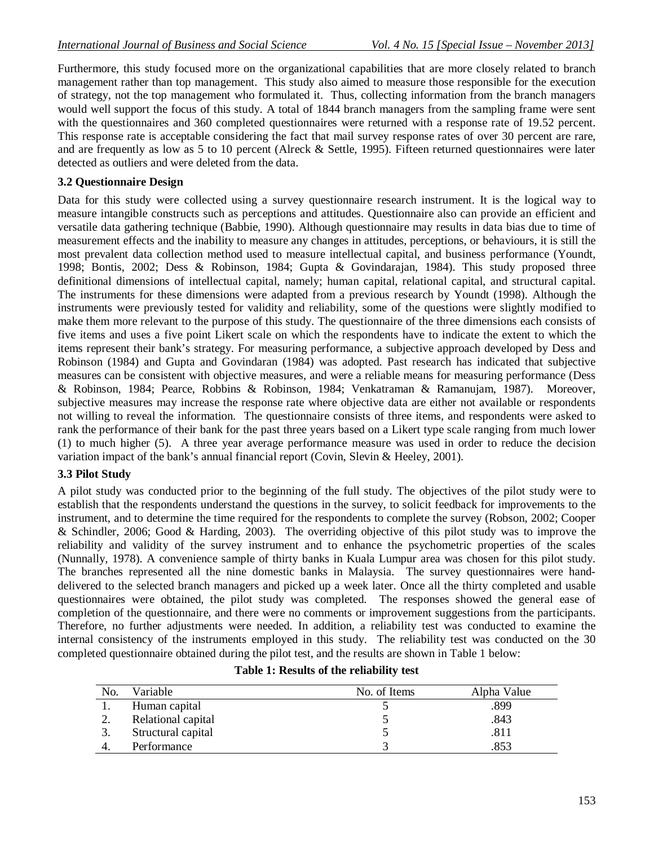Furthermore, this study focused more on the organizational capabilities that are more closely related to branch management rather than top management. This study also aimed to measure those responsible for the execution of strategy, not the top management who formulated it. Thus, collecting information from the branch managers would well support the focus of this study. A total of 1844 branch managers from the sampling frame were sent with the questionnaires and 360 completed questionnaires were returned with a response rate of 19.52 percent. This response rate is acceptable considering the fact that mail survey response rates of over 30 percent are rare, and are frequently as low as 5 to 10 percent (Alreck & Settle, 1995). Fifteen returned questionnaires were later detected as outliers and were deleted from the data.

## **3.2 Questionnaire Design**

Data for this study were collected using a survey questionnaire research instrument. It is the logical way to measure intangible constructs such as perceptions and attitudes. Questionnaire also can provide an efficient and versatile data gathering technique (Babbie, 1990). Although questionnaire may results in data bias due to time of measurement effects and the inability to measure any changes in attitudes, perceptions, or behaviours, it is still the most prevalent data collection method used to measure intellectual capital, and business performance (Youndt, 1998; Bontis, 2002; Dess & Robinson, 1984; Gupta & Govindarajan, 1984). This study proposed three definitional dimensions of intellectual capital, namely; human capital, relational capital, and structural capital. The instruments for these dimensions were adapted from a previous research by Youndt (1998). Although the instruments were previously tested for validity and reliability, some of the questions were slightly modified to make them more relevant to the purpose of this study. The questionnaire of the three dimensions each consists of five items and uses a five point Likert scale on which the respondents have to indicate the extent to which the items represent their bank's strategy. For measuring performance, a subjective approach developed by Dess and Robinson (1984) and Gupta and Govindaran (1984) was adopted. Past research has indicated that subjective measures can be consistent with objective measures, and were a reliable means for measuring performance (Dess & Robinson, 1984; Pearce, Robbins & Robinson, 1984; Venkatraman & Ramanujam, 1987). Moreover, subjective measures may increase the response rate where objective data are either not available or respondents not willing to reveal the information. The questionnaire consists of three items, and respondents were asked to rank the performance of their bank for the past three years based on a Likert type scale ranging from much lower (1) to much higher (5). A three year average performance measure was used in order to reduce the decision variation impact of the bank's annual financial report (Covin, Slevin & Heeley, 2001).

### **3.3 Pilot Study**

A pilot study was conducted prior to the beginning of the full study. The objectives of the pilot study were to establish that the respondents understand the questions in the survey, to solicit feedback for improvements to the instrument, and to determine the time required for the respondents to complete the survey (Robson, 2002; Cooper & Schindler, 2006; Good & Harding, 2003). The overriding objective of this pilot study was to improve the reliability and validity of the survey instrument and to enhance the psychometric properties of the scales (Nunnally, 1978). A convenience sample of thirty banks in Kuala Lumpur area was chosen for this pilot study. The branches represented all the nine domestic banks in Malaysia. The survey questionnaires were handdelivered to the selected branch managers and picked up a week later. Once all the thirty completed and usable questionnaires were obtained, the pilot study was completed. The responses showed the general ease of completion of the questionnaire, and there were no comments or improvement suggestions from the participants. Therefore, no further adjustments were needed. In addition, a reliability test was conducted to examine the internal consistency of the instruments employed in this study. The reliability test was conducted on the 30 completed questionnaire obtained during the pilot test, and the results are shown in Table 1 below:

| No. | Variable           | No. of Items | Alpha Value |
|-----|--------------------|--------------|-------------|
|     | Human capital      |              | .899        |
| ٠.  | Relational capital |              | .843        |
|     | Structural capital |              | .811        |
|     | Performance        |              | .853        |

## **Table 1: Results of the reliability test**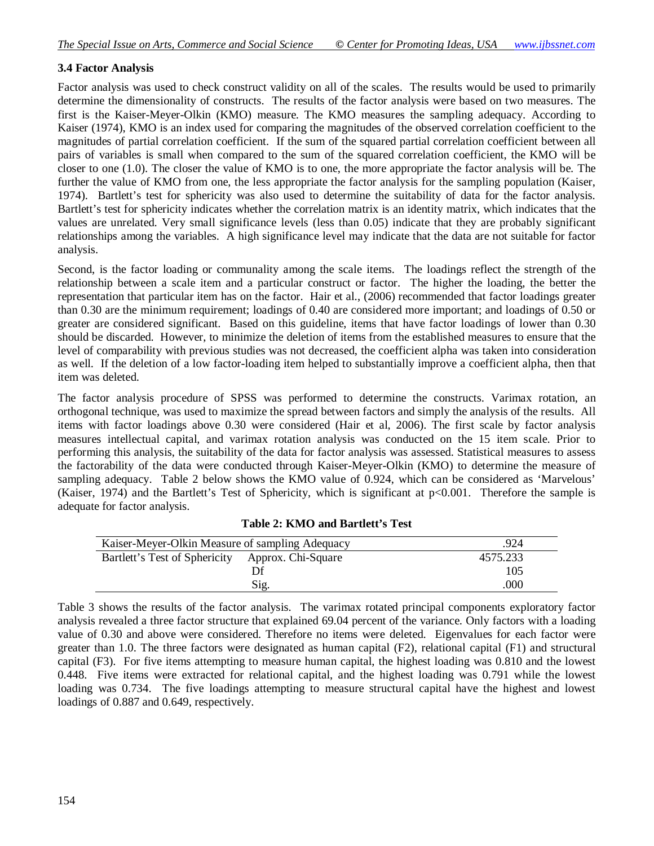#### **3.4 Factor Analysis**

Factor analysis was used to check construct validity on all of the scales. The results would be used to primarily determine the dimensionality of constructs. The results of the factor analysis were based on two measures. The first is the Kaiser-Meyer-Olkin (KMO) measure. The KMO measures the sampling adequacy. According to Kaiser (1974), KMO is an index used for comparing the magnitudes of the observed correlation coefficient to the magnitudes of partial correlation coefficient. If the sum of the squared partial correlation coefficient between all pairs of variables is small when compared to the sum of the squared correlation coefficient, the KMO will be closer to one (1.0). The closer the value of KMO is to one, the more appropriate the factor analysis will be. The further the value of KMO from one, the less appropriate the factor analysis for the sampling population (Kaiser, 1974). Bartlett's test for sphericity was also used to determine the suitability of data for the factor analysis. Bartlett's test for sphericity indicates whether the correlation matrix is an identity matrix, which indicates that the values are unrelated. Very small significance levels (less than 0.05) indicate that they are probably significant relationships among the variables. A high significance level may indicate that the data are not suitable for factor analysis.

Second, is the factor loading or communality among the scale items. The loadings reflect the strength of the relationship between a scale item and a particular construct or factor. The higher the loading, the better the representation that particular item has on the factor. Hair et al., (2006) recommended that factor loadings greater than 0.30 are the minimum requirement; loadings of 0.40 are considered more important; and loadings of 0.50 or greater are considered significant. Based on this guideline, items that have factor loadings of lower than 0.30 should be discarded. However, to minimize the deletion of items from the established measures to ensure that the level of comparability with previous studies was not decreased, the coefficient alpha was taken into consideration as well. If the deletion of a low factor-loading item helped to substantially improve a coefficient alpha, then that item was deleted.

The factor analysis procedure of SPSS was performed to determine the constructs. Varimax rotation, an orthogonal technique, was used to maximize the spread between factors and simply the analysis of the results. All items with factor loadings above 0.30 were considered (Hair et al, 2006). The first scale by factor analysis measures intellectual capital, and varimax rotation analysis was conducted on the 15 item scale. Prior to performing this analysis, the suitability of the data for factor analysis was assessed. Statistical measures to assess the factorability of the data were conducted through Kaiser-Meyer-Olkin (KMO) to determine the measure of sampling adequacy. Table 2 below shows the KMO value of 0.924, which can be considered as 'Marvelous' (Kaiser, 1974) and the Bartlett's Test of Sphericity, which is significant at p<0.001. Therefore the sample is adequate for factor analysis.

| Kaiser-Meyer-Olkin Measure of sampling Adequacy  |      | .924     |
|--------------------------------------------------|------|----------|
| Bartlett's Test of Sphericity Approx. Chi-Square |      | 4575.233 |
|                                                  | Df   | 105      |
|                                                  | Sig. | .000     |

**Table 2: KMO and Bartlett's Test**

Table 3 shows the results of the factor analysis. The varimax rotated principal components exploratory factor analysis revealed a three factor structure that explained 69.04 percent of the variance. Only factors with a loading value of 0.30 and above were considered. Therefore no items were deleted. Eigenvalues for each factor were greater than 1.0. The three factors were designated as human capital (F2), relational capital (F1) and structural capital (F3). For five items attempting to measure human capital, the highest loading was 0.810 and the lowest 0.448. Five items were extracted for relational capital, and the highest loading was 0.791 while the lowest loading was 0.734. The five loadings attempting to measure structural capital have the highest and lowest loadings of 0.887 and 0.649, respectively.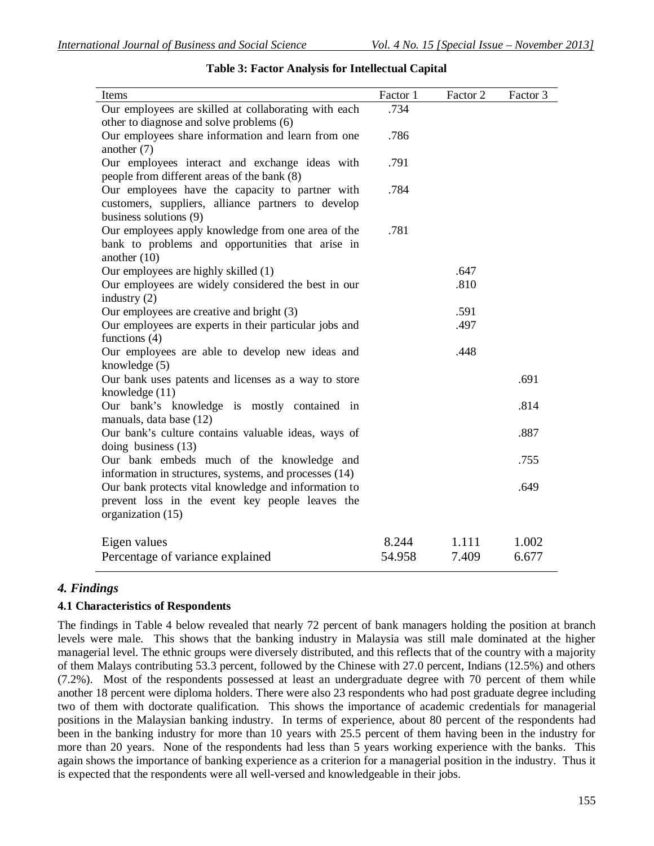| Items                                                                                                 | Factor 1 | Factor 2 | Factor 3 |
|-------------------------------------------------------------------------------------------------------|----------|----------|----------|
| Our employees are skilled at collaborating with each                                                  | .734     |          |          |
| other to diagnose and solve problems (6)                                                              |          |          |          |
| Our employees share information and learn from one                                                    | .786     |          |          |
| another $(7)$                                                                                         |          |          |          |
| Our employees interact and exchange ideas with                                                        | .791     |          |          |
| people from different areas of the bank (8)                                                           | .784     |          |          |
| Our employees have the capacity to partner with<br>customers, suppliers, alliance partners to develop |          |          |          |
| business solutions (9)                                                                                |          |          |          |
| Our employees apply knowledge from one area of the                                                    | .781     |          |          |
| bank to problems and opportunities that arise in                                                      |          |          |          |
| another $(10)$                                                                                        |          |          |          |
| Our employees are highly skilled (1)                                                                  |          | .647     |          |
| Our employees are widely considered the best in our                                                   |          | .810     |          |
| industry (2)                                                                                          |          |          |          |
| Our employees are creative and bright (3)                                                             |          | .591     |          |
| Our employees are experts in their particular jobs and                                                |          | .497     |          |
| functions $(4)$                                                                                       |          |          |          |
| Our employees are able to develop new ideas and                                                       |          | .448     |          |
| knowledge $(5)$                                                                                       |          |          |          |
| Our bank uses patents and licenses as a way to store                                                  |          |          | .691     |
| knowledge (11)<br>Our bank's knowledge is mostly contained in                                         |          |          | .814     |
| manuals, data base (12)                                                                               |          |          |          |
| Our bank's culture contains valuable ideas, ways of                                                   |          |          | .887     |
| doing business $(13)$                                                                                 |          |          |          |
| Our bank embeds much of the knowledge and                                                             |          |          | .755     |
| information in structures, systems, and processes (14)                                                |          |          |          |
| Our bank protects vital knowledge and information to                                                  |          |          | .649     |
| prevent loss in the event key people leaves the                                                       |          |          |          |
| organization (15)                                                                                     |          |          |          |
| Eigen values                                                                                          | 8.244    | 1.111    | 1.002    |
| Percentage of variance explained                                                                      | 54.958   | 7.409    | 6.677    |
|                                                                                                       |          |          |          |

## **Table 3: Factor Analysis for Intellectual Capital**

### *4. Findings*

### **4.1 Characteristics of Respondents**

The findings in Table 4 below revealed that nearly 72 percent of bank managers holding the position at branch levels were male. This shows that the banking industry in Malaysia was still male dominated at the higher managerial level. The ethnic groups were diversely distributed, and this reflects that of the country with a majority of them Malays contributing 53.3 percent, followed by the Chinese with 27.0 percent, Indians (12.5%) and others (7.2%). Most of the respondents possessed at least an undergraduate degree with 70 percent of them while another 18 percent were diploma holders. There were also 23 respondents who had post graduate degree including two of them with doctorate qualification. This shows the importance of academic credentials for managerial positions in the Malaysian banking industry. In terms of experience, about 80 percent of the respondents had been in the banking industry for more than 10 years with 25.5 percent of them having been in the industry for more than 20 years. None of the respondents had less than 5 years working experience with the banks. This again shows the importance of banking experience as a criterion for a managerial position in the industry. Thus it is expected that the respondents were all well-versed and knowledgeable in their jobs.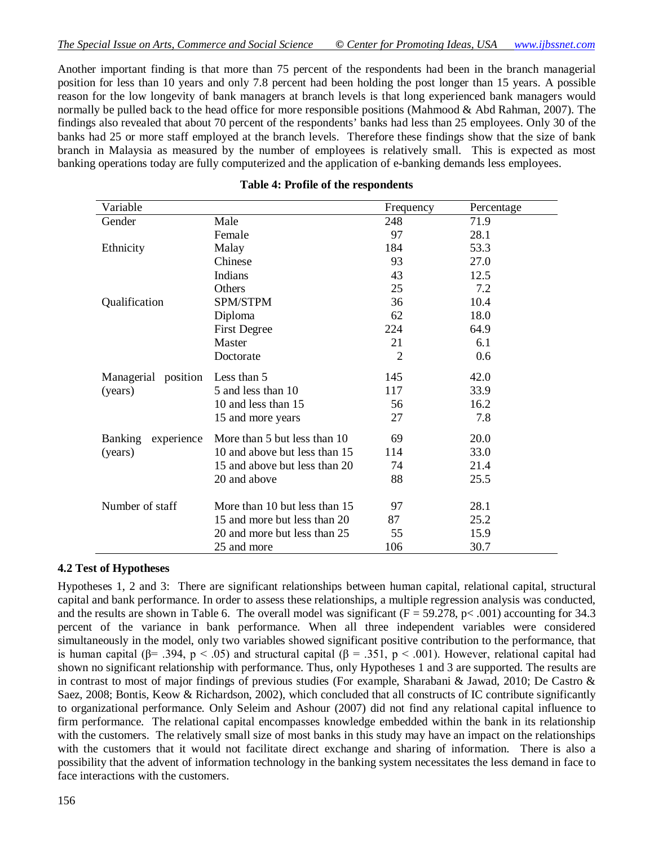Another important finding is that more than 75 percent of the respondents had been in the branch managerial position for less than 10 years and only 7.8 percent had been holding the post longer than 15 years. A possible reason for the low longevity of bank managers at branch levels is that long experienced bank managers would normally be pulled back to the head office for more responsible positions (Mahmood & Abd Rahman, 2007). The findings also revealed that about 70 percent of the respondents' banks had less than 25 employees. Only 30 of the banks had 25 or more staff employed at the branch levels. Therefore these findings show that the size of bank branch in Malaysia as measured by the number of employees is relatively small. This is expected as most banking operations today are fully computerized and the application of e-banking demands less employees.

#### **Table 4: Profile of the respondents**

#### **4.2 Test of Hypotheses**

Hypotheses 1, 2 and 3: There are significant relationships between human capital, relational capital, structural capital and bank performance. In order to assess these relationships, a multiple regression analysis was conducted, and the results are shown in Table 6. The overall model was significant  $(F = 59.278, p < .001)$  accounting for 34.3 percent of the variance in bank performance. When all three independent variables were considered simultaneously in the model, only two variables showed significant positive contribution to the performance, that is human capital ( $\beta$ = .394, p < .05) and structural capital ( $\beta$  = .351, p < .001). However, relational capital had shown no significant relationship with performance. Thus, only Hypotheses 1 and 3 are supported. The results are in contrast to most of major findings of previous studies (For example, Sharabani & Jawad, 2010; De Castro & Saez, 2008; Bontis, Keow & Richardson, 2002), which concluded that all constructs of IC contribute significantly to organizational performance. Only Seleim and Ashour (2007) did not find any relational capital influence to firm performance. The relational capital encompasses knowledge embedded within the bank in its relationship with the customers. The relatively small size of most banks in this study may have an impact on the relationships with the customers that it would not facilitate direct exchange and sharing of information. There is also a possibility that the advent of information technology in the banking system necessitates the less demand in face to face interactions with the customers.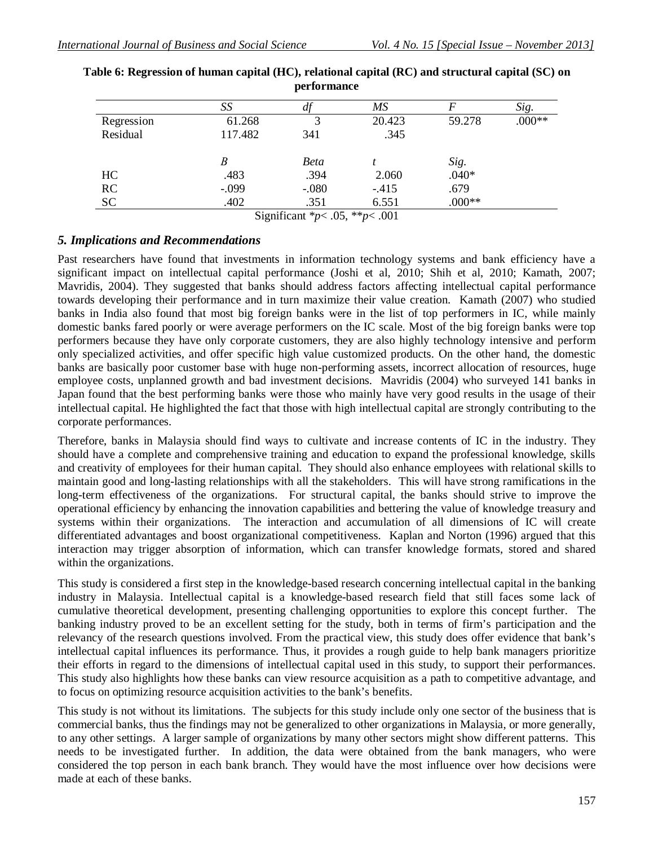|            | SS      | $\frac{d}{dt}$ | МS                                                                                                                                                                                                                                                                                                                                 |         | Sig.     |
|------------|---------|----------------|------------------------------------------------------------------------------------------------------------------------------------------------------------------------------------------------------------------------------------------------------------------------------------------------------------------------------------|---------|----------|
| Regression | 61.268  |                | 20.423                                                                                                                                                                                                                                                                                                                             | 59.278  | $.000**$ |
| Residual   | 117.482 | 341            | .345                                                                                                                                                                                                                                                                                                                               |         |          |
|            |         |                |                                                                                                                                                                                                                                                                                                                                    |         |          |
|            | B       | Beta           |                                                                                                                                                                                                                                                                                                                                    | Sig.    |          |
| HC         | .483    | .394           | 2.060                                                                                                                                                                                                                                                                                                                              | $.040*$ |          |
| RC         | $-.099$ | $-.080$        | $-.415$                                                                                                                                                                                                                                                                                                                            | .679    |          |
| <b>SC</b>  | .402    | .351           | 6.551                                                                                                                                                                                                                                                                                                                              | $000**$ |          |
|            | $\sim$  | $\cdot$ $\sim$ | $\mathbf{A}$ $\mathbf{A}$ $\mathbf{A}$ $\mathbf{A}$ $\mathbf{A}$ $\mathbf{A}$ $\mathbf{A}$ $\mathbf{A}$ $\mathbf{A}$ $\mathbf{A}$ $\mathbf{A}$ $\mathbf{A}$ $\mathbf{A}$ $\mathbf{A}$ $\mathbf{A}$ $\mathbf{A}$ $\mathbf{A}$ $\mathbf{A}$ $\mathbf{A}$ $\mathbf{A}$ $\mathbf{A}$ $\mathbf{A}$ $\mathbf{A}$ $\mathbf{A}$ $\mathbf{$ |         |          |

| Table 6: Regression of human capital (HC), relational capital (RC) and structural capital (SC) on |
|---------------------------------------------------------------------------------------------------|
| performance                                                                                       |

Significant \**p*< .05, \*\**p*< .001

### *5. Implications and Recommendations*

Past researchers have found that investments in information technology systems and bank efficiency have a significant impact on intellectual capital performance (Joshi et al, 2010; Shih et al, 2010; Kamath, 2007; Mavridis, 2004). They suggested that banks should address factors affecting intellectual capital performance towards developing their performance and in turn maximize their value creation. Kamath (2007) who studied banks in India also found that most big foreign banks were in the list of top performers in IC, while mainly domestic banks fared poorly or were average performers on the IC scale. Most of the big foreign banks were top performers because they have only corporate customers, they are also highly technology intensive and perform only specialized activities, and offer specific high value customized products. On the other hand, the domestic banks are basically poor customer base with huge non-performing assets, incorrect allocation of resources, huge employee costs, unplanned growth and bad investment decisions. Mavridis (2004) who surveyed 141 banks in Japan found that the best performing banks were those who mainly have very good results in the usage of their intellectual capital. He highlighted the fact that those with high intellectual capital are strongly contributing to the corporate performances.

Therefore, banks in Malaysia should find ways to cultivate and increase contents of IC in the industry. They should have a complete and comprehensive training and education to expand the professional knowledge, skills and creativity of employees for their human capital. They should also enhance employees with relational skills to maintain good and long-lasting relationships with all the stakeholders. This will have strong ramifications in the long-term effectiveness of the organizations. For structural capital, the banks should strive to improve the operational efficiency by enhancing the innovation capabilities and bettering the value of knowledge treasury and systems within their organizations. The interaction and accumulation of all dimensions of IC will create differentiated advantages and boost organizational competitiveness. Kaplan and Norton (1996) argued that this interaction may trigger absorption of information, which can transfer knowledge formats, stored and shared within the organizations.

This study is considered a first step in the knowledge-based research concerning intellectual capital in the banking industry in Malaysia. Intellectual capital is a knowledge-based research field that still faces some lack of cumulative theoretical development, presenting challenging opportunities to explore this concept further. The banking industry proved to be an excellent setting for the study, both in terms of firm's participation and the relevancy of the research questions involved. From the practical view, this study does offer evidence that bank's intellectual capital influences its performance. Thus, it provides a rough guide to help bank managers prioritize their efforts in regard to the dimensions of intellectual capital used in this study, to support their performances. This study also highlights how these banks can view resource acquisition as a path to competitive advantage, and to focus on optimizing resource acquisition activities to the bank's benefits.

This study is not without its limitations. The subjects for this study include only one sector of the business that is commercial banks, thus the findings may not be generalized to other organizations in Malaysia, or more generally, to any other settings. A larger sample of organizations by many other sectors might show different patterns. This needs to be investigated further. In addition, the data were obtained from the bank managers, who were considered the top person in each bank branch. They would have the most influence over how decisions were made at each of these banks.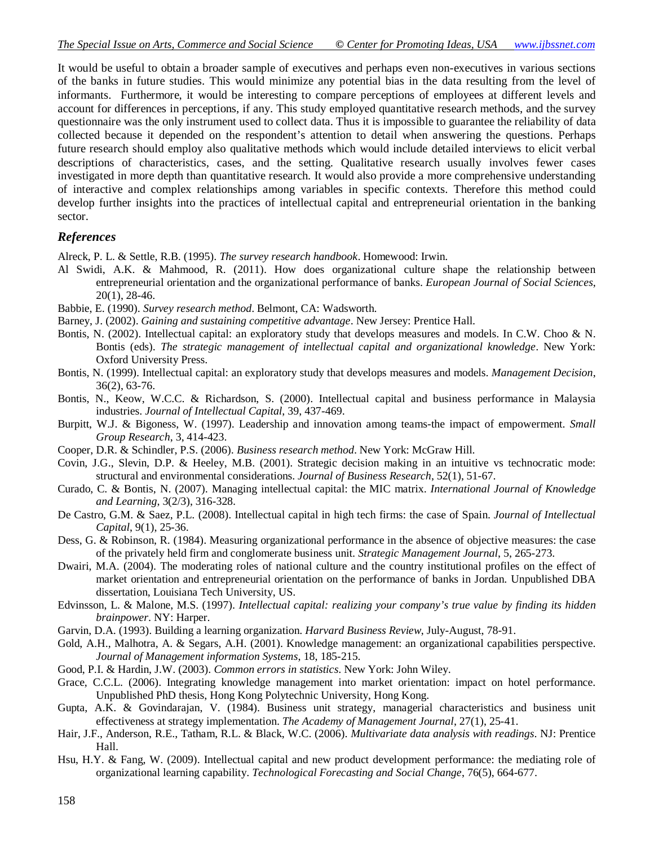It would be useful to obtain a broader sample of executives and perhaps even non-executives in various sections of the banks in future studies. This would minimize any potential bias in the data resulting from the level of informants. Furthermore, it would be interesting to compare perceptions of employees at different levels and account for differences in perceptions, if any. This study employed quantitative research methods, and the survey questionnaire was the only instrument used to collect data. Thus it is impossible to guarantee the reliability of data collected because it depended on the respondent's attention to detail when answering the questions. Perhaps future research should employ also qualitative methods which would include detailed interviews to elicit verbal descriptions of characteristics, cases, and the setting. Qualitative research usually involves fewer cases investigated in more depth than quantitative research. It would also provide a more comprehensive understanding of interactive and complex relationships among variables in specific contexts. Therefore this method could develop further insights into the practices of intellectual capital and entrepreneurial orientation in the banking sector.

#### *References*

Alreck, P. L. & Settle, R.B. (1995). *The survey research handbook*. Homewood: Irwin.

- Al Swidi, A.K. & Mahmood, R. (2011). How does organizational culture shape the relationship between entrepreneurial orientation and the organizational performance of banks. *European Journal of Social Sciences*, 20(1), 28-46.
- Babbie, E. (1990). *Survey research method*. Belmont, CA: Wadsworth.
- Barney, J. (2002). *Gaining and sustaining competitive advantage*. New Jersey: Prentice Hall.
- Bontis, N. (2002). Intellectual capital: an exploratory study that develops measures and models. In C.W. Choo & N. Bontis (eds). *The strategic management of intellectual capital and organizational knowledge*. New York: Oxford University Press.
- Bontis, N. (1999). Intellectual capital: an exploratory study that develops measures and models. *Management Decision*, 36(2), 63-76.
- Bontis, N., Keow, W.C.C. & Richardson, S. (2000). Intellectual capital and business performance in Malaysia industries. *Journal of Intellectual Capital*, 39, 437-469.
- Burpitt, W.J. & Bigoness, W. (1997). Leadership and innovation among teams-the impact of empowerment. *Small Group Research*, 3, 414-423.
- Cooper, D.R. & Schindler, P.S. (2006). *Business research method*. New York: McGraw Hill.
- Covin, J.G., Slevin, D.P. & Heeley, M.B. (2001). Strategic decision making in an intuitive vs technocratic mode: structural and environmental considerations. *Journal of Business Research*, 52(1), 51-67.
- Curado, C. & Bontis, N. (2007). Managing intellectual capital: the MIC matrix. *International Journal of Knowledge and Learning*, 3(2/3), 316-328.
- De Castro, G.M. & Saez, P.L. (2008). Intellectual capital in high tech firms: the case of Spain. *Journal of Intellectual Capital*, 9(1), 25-36.
- Dess, G. & Robinson, R. (1984). Measuring organizational performance in the absence of objective measures: the case of the privately held firm and conglomerate business unit. *Strategic Management Journal*, 5, 265-273.
- Dwairi, M.A. (2004). The moderating roles of national culture and the country institutional profiles on the effect of market orientation and entrepreneurial orientation on the performance of banks in Jordan. Unpublished DBA dissertation, Louisiana Tech University, US.
- Edvinsson, L. & Malone, M.S. (1997). *Intellectual capital: realizing your company's true value by finding its hidden brainpower*. NY: Harper.
- Garvin, D.A. (1993). Building a learning organization. *Harvard Business Review*, July-August, 78-91.
- Gold, A.H., Malhotra, A. & Segars, A.H. (2001). Knowledge management: an organizational capabilities perspective. *Journal of Management information Systems*, 18, 185-215.
- Good, P.I. & Hardin, J.W. (2003). *Common errors in statistics*. New York: John Wiley.
- Grace, C.C.L. (2006). Integrating knowledge management into market orientation: impact on hotel performance. Unpublished PhD thesis, Hong Kong Polytechnic University, Hong Kong.
- Gupta, A.K. & Govindarajan, V. (1984). Business unit strategy, managerial characteristics and business unit effectiveness at strategy implementation. *The Academy of Management Journal*, 27(1), 25-41.
- Hair, J.F., Anderson, R.E., Tatham, R.L. & Black, W.C. (2006). *Multivariate data analysis with readings*. NJ: Prentice Hall.
- Hsu, H.Y. & Fang, W. (2009). Intellectual capital and new product development performance: the mediating role of organizational learning capability. *Technological Forecasting and Social Change*, 76(5), 664-677.